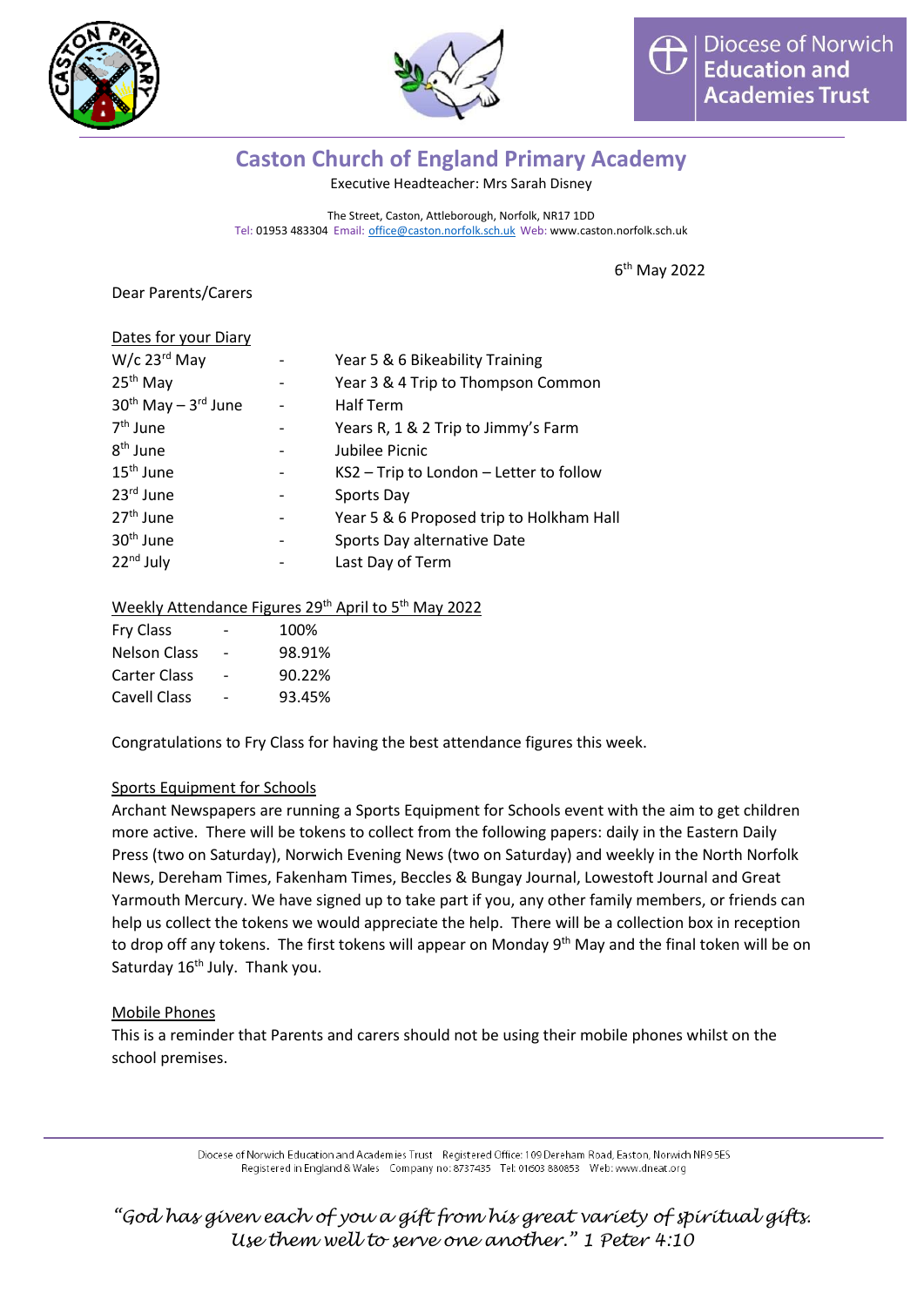



# **Caston Church of England Primary Academy**

Executive Headteacher: Mrs Sarah Disney

The Street, Caston, Attleborough, Norfolk, NR17 1DD Tel: 01953 483304 Email: [office@caston.norfolk.sch.uk](mailto:office@caston.norfolk.sch.uk) Web: www.caston.norfolk.sch.uk

6 th May 2022

Dear Parents/Carers

| Dates for your Diary          |                                          |
|-------------------------------|------------------------------------------|
| $W/c$ 23 $rd$ May             | Year 5 & 6 Bikeability Training          |
| 25 <sup>th</sup> May          | Year 3 & 4 Trip to Thompson Common       |
| $30^{th}$ May - $3^{rd}$ June | <b>Half Term</b>                         |
| $7th$ June                    | Years R, 1 & 2 Trip to Jimmy's Farm      |
| 8 <sup>th</sup> June          | Jubilee Picnic                           |
| $15th$ June                   | KS2 - Trip to London - Letter to follow  |
| 23rd June                     | Sports Day                               |
| 27 <sup>th</sup> June         | Year 5 & 6 Proposed trip to Holkham Hall |
| 30 <sup>th</sup> June         | Sports Day alternative Date              |
| 22 <sup>nd</sup> July         | Last Day of Term                         |

#### Weekly Attendance Figures 29<sup>th</sup> April to 5<sup>th</sup> May 2022

|                          | 100%   |
|--------------------------|--------|
| $\overline{\phantom{0}}$ | 98.91% |
|                          | 90.22% |
| $\overline{\phantom{0}}$ | 93.45% |
|                          |        |

Congratulations to Fry Class for having the best attendance figures this week.

## Sports Equipment for Schools

Archant Newspapers are running a Sports Equipment for Schools event with the aim to get children more active. There will be tokens to collect from the following papers: daily in the Eastern Daily Press (two on Saturday), Norwich Evening News (two on Saturday) and weekly in the North Norfolk News, Dereham Times, Fakenham Times, Beccles & Bungay Journal, Lowestoft Journal and Great Yarmouth Mercury. We have signed up to take part if you, any other family members, or friends can help us collect the tokens we would appreciate the help. There will be a collection box in reception to drop off any tokens. The first tokens will appear on Monday 9<sup>th</sup> May and the final token will be on Saturday 16<sup>th</sup> July. Thank you.

#### Mobile Phones

This is a reminder that Parents and carers should not be using their mobile phones whilst on the school premises.

> Diocese of Norwich Education and Academies Trust Registered Office: 109 Dereham Road, Easton, Norwich NR9 5ES Registered in England & Wales Company no: 8737435 Tel: 01603 880853 Web: www.dneat.org

*"God has given each of you a gift from his great variety of spiritual gifts. Use them well to serve one another." 1 Peter 4:10*